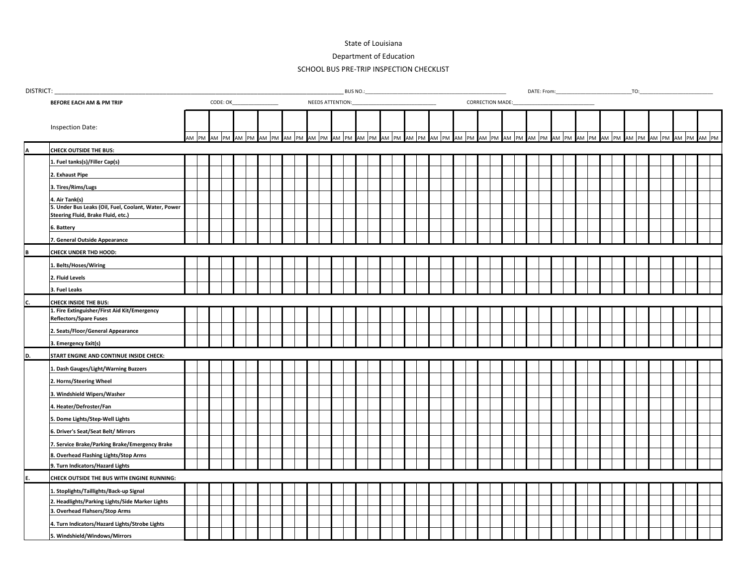## State of Louisiana

Department of Education

## SCHOOL BUS PRE-TRIP INSPECTION CHECKLIST

| DISTRICT: |                                                                                            |          |  |                   |  |  |                   |                                             |  |  |  |       | BUS NO.: |       |  |  |                                           |  |  |  |  |  |  |  |  |  |  |  |  |  | TO:                     |  |       |  |             |
|-----------|--------------------------------------------------------------------------------------------|----------|--|-------------------|--|--|-------------------|---------------------------------------------|--|--|--|-------|----------|-------|--|--|-------------------------------------------|--|--|--|--|--|--|--|--|--|--|--|--|--|-------------------------|--|-------|--|-------------|
|           | BEFORE EACH AM & PM TRIP                                                                   | CODE: OK |  |                   |  |  |                   | NEEDS ATTENTION:<br><b>CORRECTION MADE:</b> |  |  |  |       |          |       |  |  |                                           |  |  |  |  |  |  |  |  |  |  |  |  |  |                         |  |       |  |             |
|           | Inspection Date:                                                                           |          |  | AM PM AM PM AM PM |  |  | AM PM AM PM AM PM |                                             |  |  |  | AM PM |          | AM PM |  |  | AM PM AM PM AM PM AM PM AM PM AM PM AM PM |  |  |  |  |  |  |  |  |  |  |  |  |  | AM PM AM PM AM PM AM PM |  | AM PM |  | AM PM AM PM |
|           | <b>CHECK OUTSIDE THE BUS:</b>                                                              |          |  |                   |  |  |                   |                                             |  |  |  |       |          |       |  |  |                                           |  |  |  |  |  |  |  |  |  |  |  |  |  |                         |  |       |  |             |
|           | 1. Fuel tanks(s)/Filler Cap(s)                                                             |          |  |                   |  |  |                   |                                             |  |  |  |       |          |       |  |  |                                           |  |  |  |  |  |  |  |  |  |  |  |  |  |                         |  |       |  |             |
|           | 2. Exhaust Pipe                                                                            |          |  |                   |  |  |                   |                                             |  |  |  |       |          |       |  |  |                                           |  |  |  |  |  |  |  |  |  |  |  |  |  |                         |  |       |  |             |
|           | 3. Tires/Rims/Lugs                                                                         |          |  |                   |  |  |                   |                                             |  |  |  |       |          |       |  |  |                                           |  |  |  |  |  |  |  |  |  |  |  |  |  |                         |  |       |  |             |
|           | 4. Air Tank(s)                                                                             |          |  |                   |  |  |                   |                                             |  |  |  |       |          |       |  |  |                                           |  |  |  |  |  |  |  |  |  |  |  |  |  |                         |  |       |  |             |
|           | 5. Under Bus Leaks (Oil, Fuel, Coolant, Water, Power<br>Steering Fluid, Brake Fluid, etc.) |          |  |                   |  |  |                   |                                             |  |  |  |       |          |       |  |  |                                           |  |  |  |  |  |  |  |  |  |  |  |  |  |                         |  |       |  |             |
|           | 6. Battery                                                                                 |          |  |                   |  |  |                   |                                             |  |  |  |       |          |       |  |  |                                           |  |  |  |  |  |  |  |  |  |  |  |  |  |                         |  |       |  |             |
|           | 7. General Outside Appearance                                                              |          |  |                   |  |  |                   |                                             |  |  |  |       |          |       |  |  |                                           |  |  |  |  |  |  |  |  |  |  |  |  |  |                         |  |       |  |             |
|           | CHECK UNDER THD HOOD:                                                                      |          |  |                   |  |  |                   |                                             |  |  |  |       |          |       |  |  |                                           |  |  |  |  |  |  |  |  |  |  |  |  |  |                         |  |       |  |             |
|           | 1. Belts/Hoses/Wiring                                                                      |          |  |                   |  |  |                   |                                             |  |  |  |       |          |       |  |  |                                           |  |  |  |  |  |  |  |  |  |  |  |  |  |                         |  |       |  |             |
|           | 2. Fluid Levels                                                                            |          |  |                   |  |  |                   |                                             |  |  |  |       |          |       |  |  |                                           |  |  |  |  |  |  |  |  |  |  |  |  |  |                         |  |       |  |             |
|           | 3. Fuel Leaks                                                                              |          |  |                   |  |  |                   |                                             |  |  |  |       |          |       |  |  |                                           |  |  |  |  |  |  |  |  |  |  |  |  |  |                         |  |       |  |             |
|           | <b>CHECK INSIDE THE BUS:</b>                                                               |          |  |                   |  |  |                   |                                             |  |  |  |       |          |       |  |  |                                           |  |  |  |  |  |  |  |  |  |  |  |  |  |                         |  |       |  |             |
|           | 1. Fire Extinguisher/First Aid Kit/Emergency<br><b>Reflectors/Spare Fuses</b>              |          |  |                   |  |  |                   |                                             |  |  |  |       |          |       |  |  |                                           |  |  |  |  |  |  |  |  |  |  |  |  |  |                         |  |       |  |             |
|           | 2. Seats/Floor/General Appearance                                                          |          |  |                   |  |  |                   |                                             |  |  |  |       |          |       |  |  |                                           |  |  |  |  |  |  |  |  |  |  |  |  |  |                         |  |       |  |             |
|           | 3. Emergency Exit(s)                                                                       |          |  |                   |  |  |                   |                                             |  |  |  |       |          |       |  |  |                                           |  |  |  |  |  |  |  |  |  |  |  |  |  |                         |  |       |  |             |
| D.        | START ENGINE AND CONTINUE INSIDE CHECK:                                                    |          |  |                   |  |  |                   |                                             |  |  |  |       |          |       |  |  |                                           |  |  |  |  |  |  |  |  |  |  |  |  |  |                         |  |       |  |             |
|           | . Dash Gauges/Light/Warning Buzzers                                                        |          |  |                   |  |  |                   |                                             |  |  |  |       |          |       |  |  |                                           |  |  |  |  |  |  |  |  |  |  |  |  |  |                         |  |       |  |             |
|           | 2. Horns/Steering Wheel                                                                    |          |  |                   |  |  |                   |                                             |  |  |  |       |          |       |  |  |                                           |  |  |  |  |  |  |  |  |  |  |  |  |  |                         |  |       |  |             |
|           | 3. Windshield Wipers/Washer                                                                |          |  |                   |  |  |                   |                                             |  |  |  |       |          |       |  |  |                                           |  |  |  |  |  |  |  |  |  |  |  |  |  |                         |  |       |  |             |
|           | 4. Heater/Defroster/Fan                                                                    |          |  |                   |  |  |                   |                                             |  |  |  |       |          |       |  |  |                                           |  |  |  |  |  |  |  |  |  |  |  |  |  |                         |  |       |  |             |
|           | . Dome Lights/Step-Well Lights                                                             |          |  |                   |  |  |                   |                                             |  |  |  |       |          |       |  |  |                                           |  |  |  |  |  |  |  |  |  |  |  |  |  |                         |  |       |  |             |
|           | 6. Driver's Seat/Seat Belt/ Mirrors                                                        |          |  |                   |  |  |                   |                                             |  |  |  |       |          |       |  |  |                                           |  |  |  |  |  |  |  |  |  |  |  |  |  |                         |  |       |  |             |
|           | 7. Service Brake/Parking Brake/Emergency Brake                                             |          |  |                   |  |  |                   |                                             |  |  |  |       |          |       |  |  |                                           |  |  |  |  |  |  |  |  |  |  |  |  |  |                         |  |       |  |             |
|           | 8. Overhead Flashing Lights/Stop Arms                                                      |          |  |                   |  |  |                   |                                             |  |  |  |       |          |       |  |  |                                           |  |  |  |  |  |  |  |  |  |  |  |  |  |                         |  |       |  |             |
|           | 9. Turn Indicators/Hazard Lights                                                           |          |  |                   |  |  |                   |                                             |  |  |  |       |          |       |  |  |                                           |  |  |  |  |  |  |  |  |  |  |  |  |  |                         |  |       |  |             |
|           | CHECK OUTSIDE THE BUS WITH ENGINE RUNNING:                                                 |          |  |                   |  |  |                   |                                             |  |  |  |       |          |       |  |  |                                           |  |  |  |  |  |  |  |  |  |  |  |  |  |                         |  |       |  |             |
|           | 1. Stoplights/Taillights/Back-up Signal                                                    |          |  |                   |  |  |                   |                                             |  |  |  |       |          |       |  |  |                                           |  |  |  |  |  |  |  |  |  |  |  |  |  |                         |  |       |  |             |
|           | Headlights/Parking Lights/Side Marker Lights                                               |          |  |                   |  |  |                   |                                             |  |  |  |       |          |       |  |  |                                           |  |  |  |  |  |  |  |  |  |  |  |  |  |                         |  |       |  |             |
|           | Overhead Flahsers/Stop Arms                                                                |          |  |                   |  |  |                   |                                             |  |  |  |       |          |       |  |  |                                           |  |  |  |  |  |  |  |  |  |  |  |  |  |                         |  |       |  |             |
|           | 4. Turn Indicators/Hazard Lights/Strobe Lights                                             |          |  |                   |  |  |                   |                                             |  |  |  |       |          |       |  |  |                                           |  |  |  |  |  |  |  |  |  |  |  |  |  |                         |  |       |  |             |
|           | 5. Windshield/Windows/Mirrors                                                              |          |  |                   |  |  |                   |                                             |  |  |  |       |          |       |  |  |                                           |  |  |  |  |  |  |  |  |  |  |  |  |  |                         |  |       |  |             |